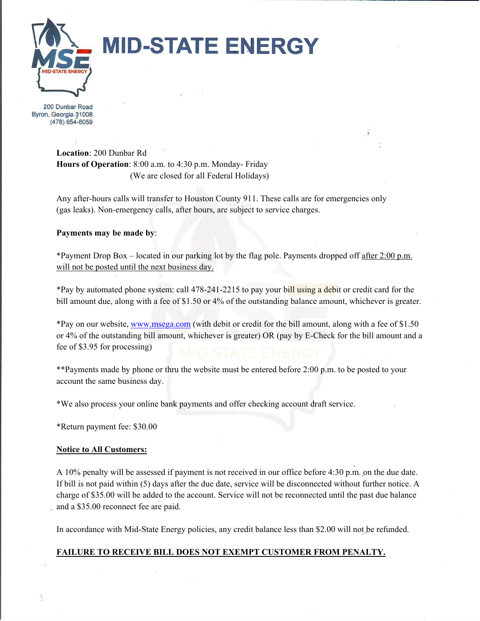

# **MID-STATE ENERGY**

200 Dunbar Road Byron, Georgia 31008 (478) 654-6059

> **Location**: 200 Dunbar Rd **Hours of Operation**: 8:00 a.m. to 4:30 p.m. Monday- Friday (We are closed for all Federal Holidays)

Any after-hours calls will transfer to Houston County 911. These calls are for emergencies only (gas leaks). Non-emergency calls, after hours, are subject to service charges.

#### **Payments may be made by**:

\*Payment Drop Box – located in our parking lot by the flag pole. Payments dropped off after 2:00 p.m. will not be posted until the next business day.

\*Pay by automated phone system: call 478-241-2215 to pay your bill using a debit or credit card for the bill amount due, along with a fee of \$1.50 or 4% of the outstanding balance amount, whichever is greater.

\*Pay on our website, www.msega.com (with debit or credit for the bill amount, along with a fee of \$1.50 or 4% of the outstanding bill amount, whichever is greater) OR (pay by E-Check for the bill amount and a fee of \$3.95 for processing)

\*\*Payments made by phone or thru the website must be entered before 2:00 p.m. to be posted to your account the same business day.

\*We also process your online bank payments and offer checking account draft service.

\*Return payment fee: \$30.00

#### **Notice to All Customers:**

A 10% penalty will be assessed if payment is not received in our office before 4:30 p.m. on the due date. If bill is not paid within (5) days after the due date, service will be disconnected without further notice. A charge of \$35.00 will be added to the account. Service will not be reconnected until the past due balance and a \$35.00 reconnect fee are paid.

In accordance with Mid-State Energy policies, any credit balance less than \$2.00 will not be refunded.

### **FAILURE TO RECEIVE BILL DOES NOT EXEMPT CUSTOMER FROM PENALTY.**